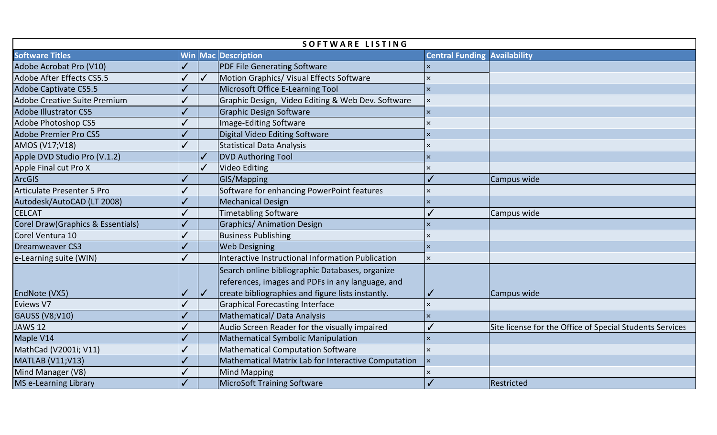| SOFTWARE LISTING                    |          |              |                                                                                                                                                          |                                     |                                                          |  |  |  |  |
|-------------------------------------|----------|--------------|----------------------------------------------------------------------------------------------------------------------------------------------------------|-------------------------------------|----------------------------------------------------------|--|--|--|--|
| <b>Software Titles</b>              |          |              | Win Mac Description                                                                                                                                      | <b>Central Funding Availability</b> |                                                          |  |  |  |  |
| Adobe Acrobat Pro (V10)             |          |              | <b>PDF File Generating Software</b>                                                                                                                      | $\times$                            |                                                          |  |  |  |  |
| Adobe After Effects CS5.5           |          | $\checkmark$ | Motion Graphics/ Visual Effects Software                                                                                                                 | $\overline{\mathsf{x}}$             |                                                          |  |  |  |  |
| <b>Adobe Captivate CS5.5</b>        |          |              | Microsoft Office E-Learning Tool                                                                                                                         | $\overline{\mathsf{x}}$             |                                                          |  |  |  |  |
| <b>Adobe Creative Suite Premium</b> |          |              | Graphic Design, Video Editing & Web Dev. Software                                                                                                        | $\times$                            |                                                          |  |  |  |  |
| <b>Adobe Illustrator CS5</b>        |          |              | <b>Graphic Design Software</b>                                                                                                                           | $\mathsf{\times}$                   |                                                          |  |  |  |  |
| <b>Adobe Photoshop CS5</b>          |          |              | Image-Editing Software                                                                                                                                   | $\overline{\mathsf{x}}$             |                                                          |  |  |  |  |
| <b>Adobe Premier Pro CS5</b>        |          |              | <b>Digital Video Editing Software</b>                                                                                                                    | ΙX                                  |                                                          |  |  |  |  |
| AMOS (V17;V18)                      | $\prime$ |              | <b>Statistical Data Analysis</b>                                                                                                                         |                                     |                                                          |  |  |  |  |
| Apple DVD Studio Pro (V.1.2)        |          |              | <b>DVD Authoring Tool</b>                                                                                                                                | $\overline{\mathsf{x}}$             |                                                          |  |  |  |  |
| Apple Final cut Pro X               |          |              | <b>Video Editing</b>                                                                                                                                     | $\times$                            |                                                          |  |  |  |  |
| <b>ArcGIS</b>                       |          |              | GIS/Mapping                                                                                                                                              |                                     | Campus wide                                              |  |  |  |  |
| <b>Articulate Presenter 5 Pro</b>   |          |              | Software for enhancing PowerPoint features                                                                                                               | $\overline{\mathsf{x}}$             |                                                          |  |  |  |  |
| Autodesk/AutoCAD (LT 2008)          |          |              | <b>Mechanical Design</b>                                                                                                                                 | $\times$                            |                                                          |  |  |  |  |
| <b>CELCAT</b>                       |          |              | <b>Timetabling Software</b>                                                                                                                              |                                     | Campus wide                                              |  |  |  |  |
| Corel Draw(Graphics & Essentials)   |          |              | <b>Graphics/ Animation Design</b>                                                                                                                        | $\mathsf{\times}$                   |                                                          |  |  |  |  |
| Corel Ventura 10                    |          |              | <b>Business Publishing</b>                                                                                                                               |                                     |                                                          |  |  |  |  |
| <b>Dreamweaver CS3</b>              |          |              | <b>Web Designing</b>                                                                                                                                     | $\mathsf{\times}$                   |                                                          |  |  |  |  |
| e-Learning suite (WIN)              |          |              | Interactive Instructional Information Publication                                                                                                        | $\overline{\mathsf{x}}$             |                                                          |  |  |  |  |
| EndNote (VX5)                       |          | $\checkmark$ | Search online bibliographic Databases, organize<br>references, images and PDFs in any language, and<br>create bibliographies and figure lists instantly. |                                     | Campus wide                                              |  |  |  |  |
| Eviews V7                           |          |              | <b>Graphical Forecasting Interface</b>                                                                                                                   | $\overline{\mathsf{x}}$             |                                                          |  |  |  |  |
| <b>GAUSS (V8;V10)</b>               |          |              | <b>Mathematical/ Data Analysis</b>                                                                                                                       | $\times$                            |                                                          |  |  |  |  |
| <b>JAWS 12</b>                      |          |              | Audio Screen Reader for the visually impaired                                                                                                            |                                     | Site license for the Office of Special Students Services |  |  |  |  |
| Maple V14                           |          |              | <b>Mathematical Symbolic Manipulation</b>                                                                                                                | $\overline{\mathsf{x}}$             |                                                          |  |  |  |  |
| MathCad (V2001i; V11)               |          |              | <b>Mathematical Computation Software</b>                                                                                                                 | $\times$                            |                                                          |  |  |  |  |
| <b>MATLAB (V11;V13)</b>             |          |              | Mathematical Matrix Lab for Interactive Computation                                                                                                      | $\overline{\mathsf{x}}$             |                                                          |  |  |  |  |
| Mind Manager (V8)                   |          |              | Mind Mapping                                                                                                                                             |                                     |                                                          |  |  |  |  |
| MS e-Learning Library               |          |              | <b>MicroSoft Training Software</b>                                                                                                                       |                                     | Restricted                                               |  |  |  |  |